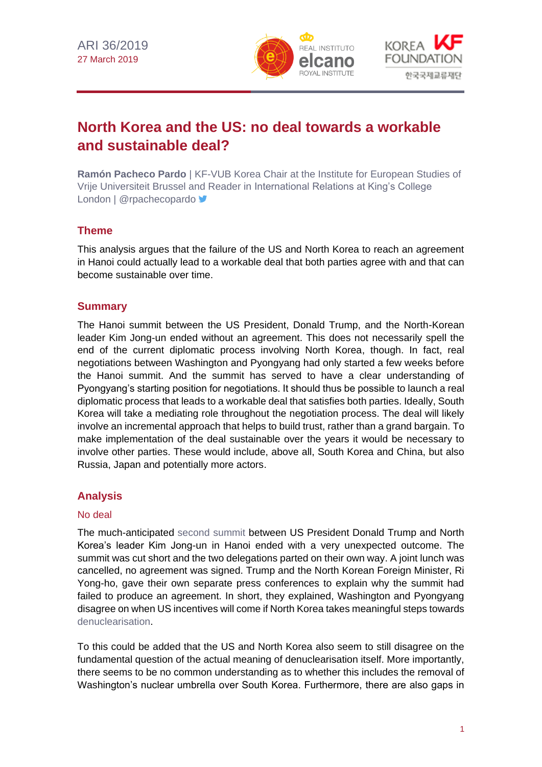



# **North Korea and the US: no deal towards a workable and sustainable deal?**

**Ramón Pacheco Pardo** | KF-VUB Korea Chair at the Institute for European Studies of Vrije Universiteit Brussel and Reader in International Relations at King's College London | @rpachecopardo >

## **Theme**

This analysis argues that the failure of the US and North Korea to reach an agreement in Hanoi could actually lead to a workable deal that both parties agree with and that can become sustainable over time.

## **Summary**

The Hanoi summit between the US President, Donald Trump, and the North-Korean leader Kim Jong-un ended without an agreement. This does not necessarily spell the end of the current diplomatic process involving North Korea, though. In fact, real negotiations between Washington and Pyongyang had only started a few weeks before the Hanoi summit. And the summit has served to have a clear understanding of Pyongyang's starting position for negotiations. It should thus be possible to launch a real diplomatic process that leads to a workable deal that satisfies both parties. Ideally, South Korea will take a mediating role throughout the negotiation process. The deal will likely involve an incremental approach that helps to build trust, rather than a grand bargain. To make implementation of the deal sustainable over the years it would be necessary to involve other parties. These would include, above all, South Korea and China, but also Russia, Japan and potentially more actors.

### **Analysis**

#### No deal

The much-anticipated [second summit](https://dprk-usasummit2019.mofa.gov.vn/EN/Home/) between US President Donald Trump and North Korea's leader Kim Jong-un in Hanoi ended with a very unexpected outcome. The summit was cut short and the two delegations parted on their own way. A joint lunch was cancelled, no agreement was signed. Trump and the North Korean Foreign Minister, Ri Yong-ho, gave their own separate press conferences to explain why the summit had failed to produce an agreement. In short, they explained, Washington and Pyongyang disagree on when US incentives will come if North Korea takes meaningful steps towards [denuclearisation.](http://www.realinstitutoelcano.org/wps/portal/rielcano_en/contenido?WCM_GLOBAL_CONTEXT=/elcano/elcano_in/zonas_in/commentary-arteaga-esteban-windows-opportunity-korean-peninsula)

To this could be added that the US and North Korea also seem to still disagree on the fundamental question of the actual meaning of denuclearisation itself. More importantly, there seems to be no common understanding as to whether this includes the removal of Washington's nuclear umbrella over South Korea. Furthermore, there are also gaps in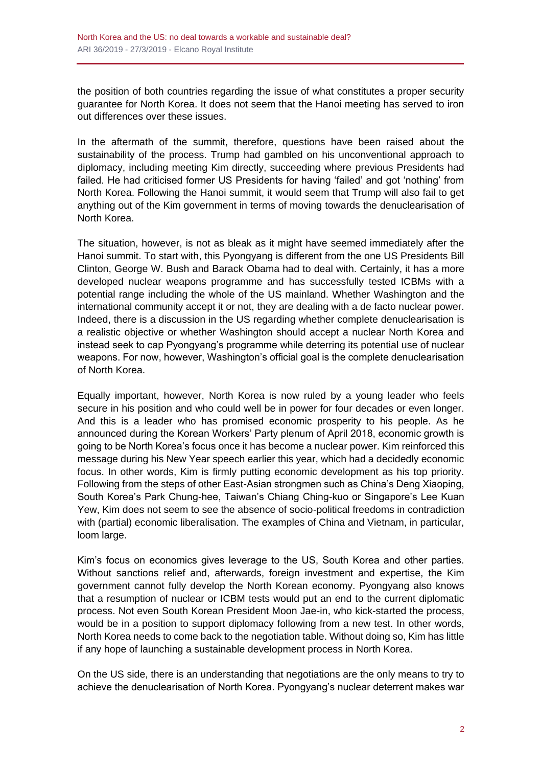the position of both countries regarding the issue of what constitutes a proper security guarantee for North Korea. It does not seem that the Hanoi meeting has served to iron out differences over these issues.

In the aftermath of the summit, therefore, questions have been raised about the sustainability of the process. Trump had gambled on his unconventional approach to diplomacy, including meeting Kim directly, succeeding where previous Presidents had failed. He had criticised former US Presidents for having 'failed' and got 'nothing' from North Korea. Following the Hanoi summit, it would seem that Trump will also fail to get anything out of the Kim government in terms of moving towards the denuclearisation of North Korea.

The situation, however, is not as bleak as it might have seemed immediately after the Hanoi summit. To start with, this Pyongyang is different from the one US Presidents Bill Clinton, George W. Bush and Barack Obama had to deal with. Certainly, it has a more developed nuclear weapons programme and has successfully tested ICBMs with a potential range including the whole of the US mainland. Whether Washington and the international community accept it or not, they are dealing with a de facto nuclear power. Indeed, there is a discussion in the US regarding whether complete denuclearisation is a realistic objective or whether Washington should accept a nuclear North Korea and instead seek to cap Pyongyang's programme while deterring its potential use of nuclear weapons. For now, however, Washington's official goal is the complete denuclearisation of North Korea.

Equally important, however, North Korea is now ruled by a young leader who feels secure in his position and who could well be in power for four decades or even longer. And this is a leader who has promised economic prosperity to his people. As he announced during the Korean Workers' Party plenum of April 2018, economic growth is going to be North Korea's focus once it has become a nuclear power. Kim reinforced this message during his New Year speech earlier this year, which had a decidedly economic focus. In other words, Kim is firmly putting economic development as his top priority. Following from the steps of other East-Asian strongmen such as China's Deng Xiaoping, South Korea's Park Chung-hee, Taiwan's Chiang Ching-kuo or Singapore's Lee Kuan Yew, Kim does not seem to see the absence of socio-political freedoms in contradiction with (partial) economic liberalisation. The examples of China and Vietnam, in particular, loom large.

Kim's focus on economics gives leverage to the US, South Korea and other parties. Without sanctions relief and, afterwards, foreign investment and expertise, the Kim government cannot fully develop the North Korean economy. Pyongyang also knows that a resumption of nuclear or ICBM tests would put an end to the current diplomatic process. Not even South Korean President Moon Jae-in, who kick-started the process, would be in a position to support diplomacy following from a new test. In other words, North Korea needs to come back to the negotiation table. Without doing so, Kim has little if any hope of launching a sustainable development process in North Korea.

On the US side, there is an understanding that negotiations are the only means to try to achieve the denuclearisation of North Korea. Pyongyang's nuclear deterrent makes war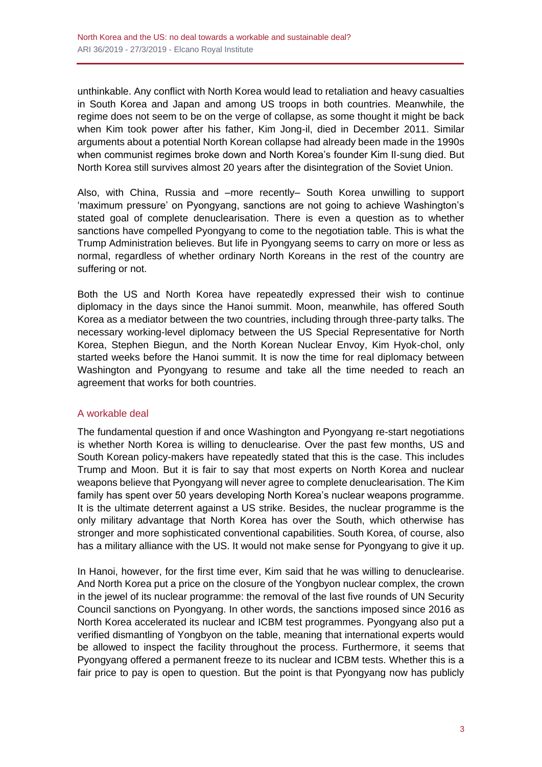unthinkable. Any conflict with North Korea would lead to retaliation and heavy casualties in South Korea and Japan and among US troops in both countries. Meanwhile, the regime does not seem to be on the verge of collapse, as some thought it might be back when Kim took power after his father, Kim Jong-il, died in December 2011. Similar arguments about a potential North Korean collapse had already been made in the 1990s when communist regimes broke down and North Korea's founder Kim Il-sung died. But North Korea still survives almost 20 years after the disintegration of the Soviet Union.

Also, with China, Russia and –more recently– South Korea unwilling to support 'maximum pressure' on Pyongyang, sanctions are not going to achieve Washington's stated goal of complete denuclearisation. There is even a question as to whether sanctions have compelled Pyongyang to come to the negotiation table. This is what the Trump Administration believes. But life in Pyongyang seems to carry on more or less as normal, regardless of whether ordinary North Koreans in the rest of the country are suffering or not.

Both the US and North Korea have repeatedly expressed their wish to continue diplomacy in the days since the Hanoi summit. Moon, meanwhile, has offered South Korea as a mediator between the two countries, including through three-party talks. The necessary working-level diplomacy between the US Special Representative for North Korea, Stephen Biegun, and the North Korean Nuclear Envoy, Kim Hyok-chol, only started weeks before the Hanoi summit. It is now the time for real diplomacy between Washington and Pyongyang to resume and take all the time needed to reach an agreement that works for both countries.

#### A workable deal

The fundamental question if and once Washington and Pyongyang re-start negotiations is whether North Korea is willing to denuclearise. Over the past few months, US and South Korean policy-makers have repeatedly stated that this is the case. This includes Trump and Moon. But it is fair to say that most experts on North Korea and nuclear weapons believe that Pyongyang will never agree to complete denuclearisation. The Kim family has spent over 50 years developing North Korea's nuclear weapons programme. It is the ultimate deterrent against a US strike. Besides, the nuclear programme is the only military advantage that North Korea has over the South, which otherwise has stronger and more sophisticated conventional capabilities. South Korea, of course, also has a military alliance with the US. It would not make sense for Pyongyang to give it up.

In Hanoi, however, for the first time ever, Kim said that he was willing to denuclearise. And North Korea put a price on the closure of the Yongbyon nuclear complex, the crown in the jewel of its nuclear programme: the removal of the last five rounds of UN Security Council sanctions on Pyongyang. In other words, the sanctions imposed since 2016 as North Korea accelerated its nuclear and ICBM test programmes. Pyongyang also put a verified dismantling of Yongbyon on the table, meaning that international experts would be allowed to inspect the facility throughout the process. Furthermore, it seems that Pyongyang offered a permanent freeze to its nuclear and ICBM tests. Whether this is a fair price to pay is open to question. But the point is that Pyongyang now has publicly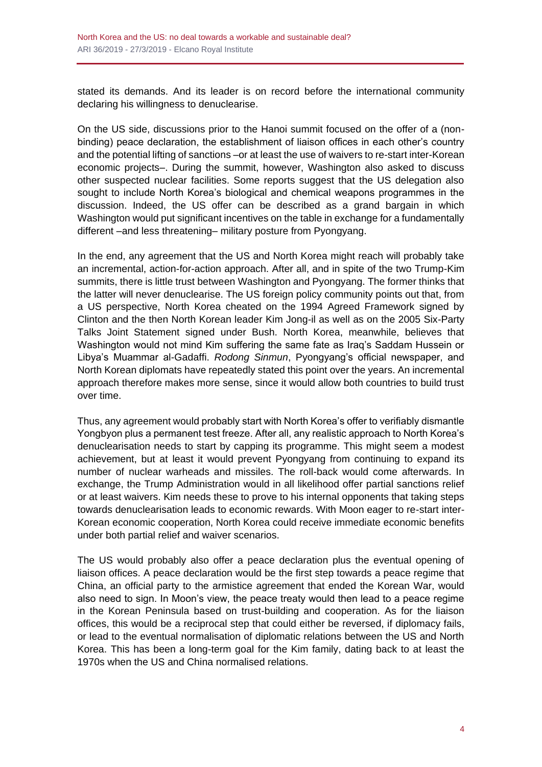stated its demands. And its leader is on record before the international community declaring his willingness to denuclearise.

On the US side, discussions prior to the Hanoi summit focused on the offer of a (nonbinding) peace declaration, the establishment of liaison offices in each other's country and the potential lifting of sanctions –or at least the use of waivers to re-start inter-Korean economic projects–. During the summit, however, Washington also asked to discuss other suspected nuclear facilities. Some reports suggest that the US delegation also sought to include North Korea's biological and chemical weapons programmes in the discussion. Indeed, the US offer can be described as a grand bargain in which Washington would put significant incentives on the table in exchange for a fundamentally different –and less threatening– military posture from Pyongyang.

In the end, any agreement that the US and North Korea might reach will probably take an incremental, action-for-action approach. After all, and in spite of the two Trump-Kim summits, there is little trust between Washington and Pyongyang. The former thinks that the latter will never denuclearise. The US foreign policy community points out that, from a US perspective, North Korea cheated on the 1994 Agreed Framework signed by Clinton and the then North Korean leader Kim Jong-il as well as on the 2005 Six-Party Talks Joint Statement signed under Bush. North Korea, meanwhile, believes that Washington would not mind Kim suffering the same fate as Iraq's Saddam Hussein or Libya's Muammar al-Gadaffi. *Rodong Sinmun*, Pyongyang's official newspaper, and North Korean diplomats have repeatedly stated this point over the years. An incremental approach therefore makes more sense, since it would allow both countries to build trust over time.

Thus, any agreement would probably start with North Korea's offer to verifiably dismantle Yongbyon plus a permanent test freeze. After all, any realistic approach to North Korea's denuclearisation needs to start by capping its programme. This might seem a modest achievement, but at least it would prevent Pyongyang from continuing to expand its number of nuclear warheads and missiles. The roll-back would come afterwards. In exchange, the Trump Administration would in all likelihood offer partial sanctions relief or at least waivers. Kim needs these to prove to his internal opponents that taking steps towards denuclearisation leads to economic rewards. With Moon eager to re-start inter-Korean economic cooperation, North Korea could receive immediate economic benefits under both partial relief and waiver scenarios.

The US would probably also offer a peace declaration plus the eventual opening of liaison offices. A peace declaration would be the first step towards a peace regime that China, an official party to the armistice agreement that ended the Korean War, would also need to sign. In Moon's view, the peace treaty would then lead to a peace regime in the Korean Peninsula based on trust-building and cooperation. As for the liaison offices, this would be a reciprocal step that could either be reversed, if diplomacy fails, or lead to the eventual normalisation of diplomatic relations between the US and North Korea. This has been a long-term goal for the Kim family, dating back to at least the 1970s when the US and China normalised relations.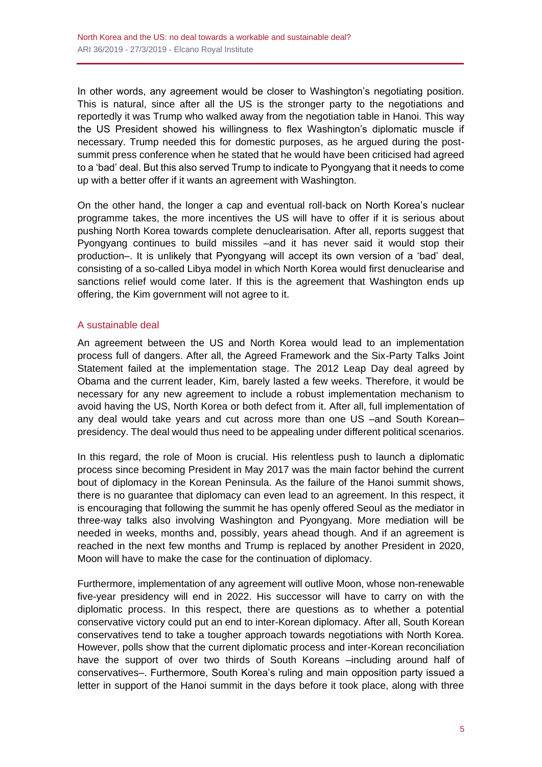In other words, any agreement would be closer to Washington's negotiating position. This is natural, since after all the US is the stronger party to the negotiations and reportedly it was Trump who walked away from the negotiation table in Hanoi. This way the US President showed his willingness to flex Washington's diplomatic muscle if necessary. Trump needed this for domestic purposes, as he argued during the postsummit press conference when he stated that he would have been criticised had agreed to a 'bad' deal. But this also served Trump to indicate to Pyongyang that it needs to come up with a better offer if it wants an agreement with Washington.

On the other hand, the longer a cap and eventual roll-back on North Korea's nuclear programme takes, the more incentives the US will have to offer if it is serious about pushing North Korea towards complete denuclearisation. After all, reports suggest that Pyongyang continues to build missiles –and it has never said it would stop their production–. It is unlikely that Pyongyang will accept its own version of a 'bad' deal, consisting of a so-called Libya model in which North Korea would first denuclearise and sanctions relief would come later. If this is the agreement that Washington ends up offering, the Kim government will not agree to it.

#### A sustainable deal

An agreement between the US and North Korea would lead to an implementation process full of dangers. After all, the Agreed Framework and the Six-Party Talks Joint Statement failed at the implementation stage. The 2012 Leap Day deal agreed by Obama and the current leader, Kim, barely lasted a few weeks. Therefore, it would be necessary for any new agreement to include a robust implementation mechanism to avoid having the US, North Korea or both defect from it. After all, full implementation of any deal would take years and cut across more than one US –and South Korean– presidency. The deal would thus need to be appealing under different political scenarios.

In this regard, the role of Moon is crucial. His relentless push to launch a diplomatic process since becoming President in May 2017 was the main factor behind the current bout of diplomacy in the Korean Peninsula. As the failure of the Hanoi summit shows, there is no guarantee that diplomacy can even lead to an agreement. In this respect, it is encouraging that following the summit he has openly offered Seoul as the mediator in three-way talks also involving Washington and Pyongyang. More mediation will be needed in weeks, months and, possibly, years ahead though. And if an agreement is reached in the next few months and Trump is replaced by another President in 2020, Moon will have to make the case for the continuation of diplomacy.

Furthermore, implementation of any agreement will outlive Moon, whose non-renewable five-year presidency will end in 2022. His successor will have to carry on with the diplomatic process. In this respect, there are questions as to whether a potential conservative victory could put an end to inter-Korean diplomacy. After all, South Korean conservatives tend to take a tougher approach towards negotiations with North Korea. However, polls show that the current diplomatic process and inter-Korean reconciliation have the support of over two thirds of South Koreans –including around half of conservatives–. Furthermore, South Korea's ruling and main opposition party issued a letter in support of the Hanoi summit in the days before it took place, along with three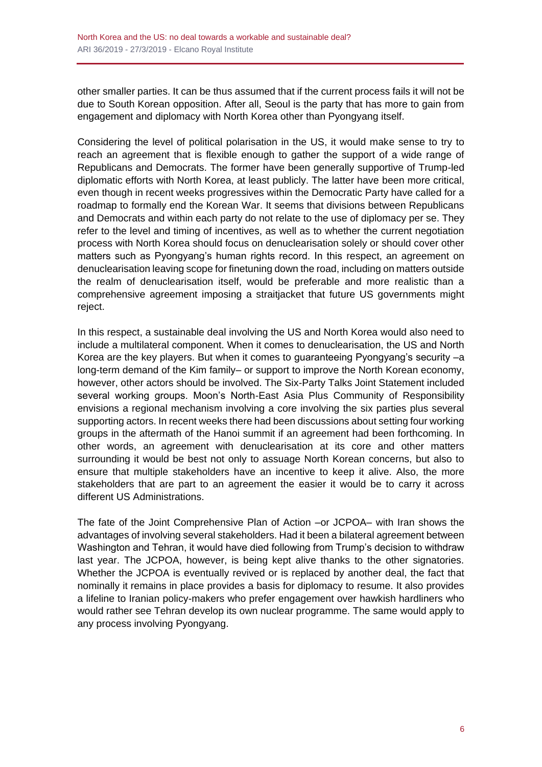other smaller parties. It can be thus assumed that if the current process fails it will not be due to South Korean opposition. After all, Seoul is the party that has more to gain from engagement and diplomacy with North Korea other than Pyongyang itself.

Considering the level of political polarisation in the US, it would make sense to try to reach an agreement that is flexible enough to gather the support of a wide range of Republicans and Democrats. The former have been generally supportive of Trump-led diplomatic efforts with North Korea, at least publicly. The latter have been more critical, even though in recent weeks progressives within the Democratic Party have called for a roadmap to formally end the Korean War. It seems that divisions between Republicans and Democrats and within each party do not relate to the use of diplomacy per se. They refer to the level and timing of incentives, as well as to whether the current negotiation process with North Korea should focus on denuclearisation solely or should cover other matters such as Pyongyang's human rights record. In this respect, an agreement on denuclearisation leaving scope for finetuning down the road, including on matters outside the realm of denuclearisation itself, would be preferable and more realistic than a comprehensive agreement imposing a straitjacket that future US governments might reject.

In this respect, a sustainable deal involving the US and North Korea would also need to include a multilateral component. When it comes to denuclearisation, the US and North Korea are the key players. But when it comes to guaranteeing Pyongyang's security –a long-term demand of the Kim family– or support to improve the North Korean economy, however, other actors should be involved. The Six-Party Talks Joint Statement included several working groups. Moon's North-East Asia Plus Community of Responsibility envisions a regional mechanism involving a core involving the six parties plus several supporting actors. In recent weeks there had been discussions about setting four working groups in the aftermath of the Hanoi summit if an agreement had been forthcoming. In other words, an agreement with denuclearisation at its core and other matters surrounding it would be best not only to assuage North Korean concerns, but also to ensure that multiple stakeholders have an incentive to keep it alive. Also, the more stakeholders that are part to an agreement the easier it would be to carry it across different US Administrations.

The fate of the Joint Comprehensive Plan of Action –or JCPOA– with Iran shows the advantages of involving several stakeholders. Had it been a bilateral agreement between Washington and Tehran, it would have died following from Trump's decision to withdraw last year. The JCPOA, however, is being kept alive thanks to the other signatories. Whether the JCPOA is eventually revived or is replaced by another deal, the fact that nominally it remains in place provides a basis for diplomacy to resume. It also provides a lifeline to Iranian policy-makers who prefer engagement over hawkish hardliners who would rather see Tehran develop its own nuclear programme. The same would apply to any process involving Pyongyang.